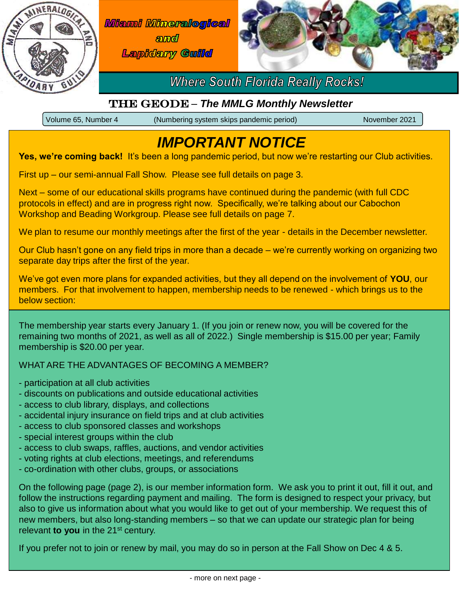

**Miami Mineralogical** amd **Lapidary Guilld** 



### **Where South Florida Really Rocks!**

### The Geode – *The MMLG Monthly Newsletter*

Volume 65, Number 4 (Numbering system skips pandemic period) November 2021

## *IMPORTANT NOTICE*

Yes, we're coming back! It's been a long pandemic period, but now we're restarting our Club activities.

First up – our semi-annual Fall Show. Please see full details on page 3.

Next – some of our educational skills programs have continued during the pandemic (with full CDC protocols in effect) and are in progress right now. Specifically, we're talking about our Cabochon Workshop and Beading Workgroup. Please see full details on page 7.

We plan to resume our monthly meetings after the first of the year - details in the December newsletter.

Our Club hasn't gone on any field trips in more than a decade – we're currently working on organizing two separate day trips after the first of the year.

We've got even more plans for expanded activities, but they all depend on the involvement of **YOU**, our members. For that involvement to happen, membership needs to be renewed - which brings us to the below section:

The membership year starts every January 1. (If you join or renew now, you will be covered for the remaining two months of 2021, as well as all of 2022.) Single membership is \$15.00 per year; Family membership is \$20.00 per year.

WHAT ARE THE ADVANTAGES OF BECOMING A MEMBER?

- participation at all club activities
- discounts on publications and outside educational activities
- access to club library, displays, and collections
- accidental injury insurance on field trips and at club activities
- access to club sponsored classes and workshops
- special interest groups within the club
- access to club swaps, raffles, auctions, and vendor activities
- voting rights at club elections, meetings, and referendums
- co-ordination with other clubs, groups, or associations

On the following page (page 2), is our member information form. We ask you to print it out, fill it out, and follow the instructions regarding payment and mailing. The form is designed to respect your privacy, but also to give us information about what you would like to get out of your membership. We request this of new members, but also long-standing members – so that we can update our strategic plan for being relevant **to you** in the 21st century.

If you prefer not to join or renew by mail, you may do so in person at the Fall Show on Dec 4 & 5.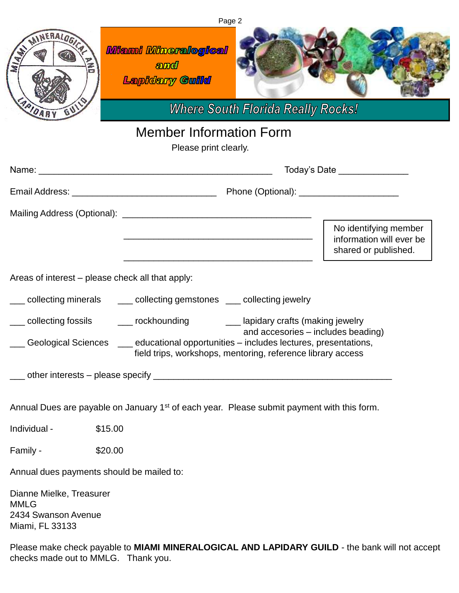| Page 2                                                                                                 |                                                                                                                                                                                            |                                                                           |
|--------------------------------------------------------------------------------------------------------|--------------------------------------------------------------------------------------------------------------------------------------------------------------------------------------------|---------------------------------------------------------------------------|
| MINERALOGICA<br>MIAR<br>MAIDARY                                                                        | <b>Miami Mineralogical</b><br>amd<br><b>Lapidary Cuild</b><br><b>Where South Florida Really Rocks!</b>                                                                                     |                                                                           |
| <b>Member Information Form</b>                                                                         |                                                                                                                                                                                            |                                                                           |
| Please print clearly.                                                                                  |                                                                                                                                                                                            |                                                                           |
|                                                                                                        | Name: 2008. 2008. 2009. 2009. 2010. 2010. 2010. 2010. 2010. 2010. 2010. 2010. 2010. 2010. 2010. 2010. 2010. 20<br>Today's Date _______________                                             |                                                                           |
|                                                                                                        |                                                                                                                                                                                            |                                                                           |
|                                                                                                        |                                                                                                                                                                                            |                                                                           |
|                                                                                                        |                                                                                                                                                                                            | No identifying member<br>information will ever be<br>shared or published. |
| Areas of interest - please check all that apply:                                                       |                                                                                                                                                                                            |                                                                           |
| sollecting minerals and collecting gemstones and collecting jewelry                                    |                                                                                                                                                                                            |                                                                           |
|                                                                                                        | __ collecting fossils    ___ rockhounding       ___ lapidary crafts (making jewelry                                                                                                        |                                                                           |
|                                                                                                        | and accesories - includes beading)<br>Geological Sciences ___ educational opportunities - includes lectures, presentations,<br>field trips, workshops, mentoring, reference library access |                                                                           |
|                                                                                                        |                                                                                                                                                                                            |                                                                           |
| Annual Dues are payable on January 1 <sup>st</sup> of each year. Please submit payment with this form. |                                                                                                                                                                                            |                                                                           |
| Individual -                                                                                           | \$15.00                                                                                                                                                                                    |                                                                           |
| Family -                                                                                               | \$20.00                                                                                                                                                                                    |                                                                           |
| Annual dues payments should be mailed to:                                                              |                                                                                                                                                                                            |                                                                           |
| Dianne Mielke, Treasurer<br><b>MMLG</b><br>2434 Swanson Avenue<br>Miami, FL 33133                      |                                                                                                                                                                                            |                                                                           |

Please make check payable to **MIAMI MINERALOGICAL AND LAPIDARY GUILD** - the bank will not accept checks made out to MMLG. Thank you.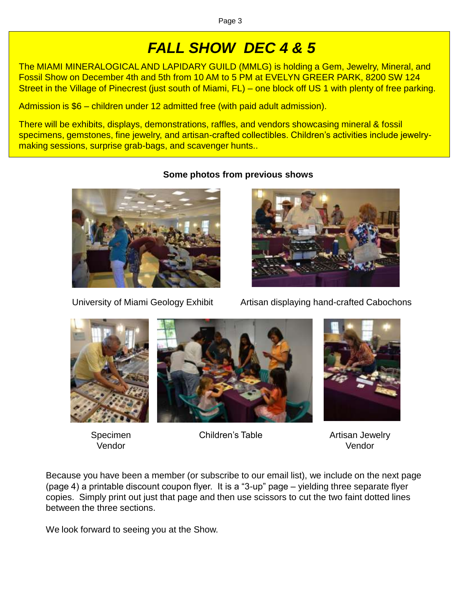# *FALL SHOW DEC 4 & 5*

The MIAMI MINERALOGICAL AND LAPIDARY GUILD (MMLG) is holding a Gem, Jewelry, Mineral, and Fossil Show on December 4th and 5th from 10 AM to 5 PM at EVELYN GREER PARK, 8200 SW 124 Street in the Village of Pinecrest (just south of Miami, FL) – one block off US 1 with plenty of free parking.

Admission is \$6 – children under 12 admitted free (with paid adult admission).

There will be exhibits, displays, demonstrations, raffles, and vendors showcasing mineral & fossil specimens, gemstones, fine jewelry, and artisan-crafted collectibles. Children's activities include jewelrymaking sessions, surprise grab-bags, and scavenger hunts..



#### **Some photos from previous shows**



University of Miami Geology Exhibit Artisan displaying hand-crafted Cabochons



Specimen Vendor



Children's Table **Artisan Jewelry** 



Vendor

Because you have been a member (or subscribe to our email list), we include on the next page (page 4) a printable discount coupon flyer. It is a "3-up" page – yielding three separate flyer copies. Simply print out just that page and then use scissors to cut the two faint dotted lines between the three sections.

We look forward to seeing you at the Show.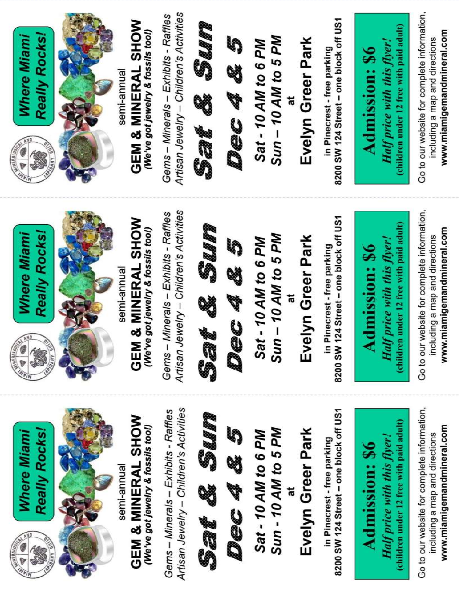

Artisan Jewelry - Children's Activities Go to our website for complete information, Gems - Minerals - Exhibits - Raffles 8200 SW 124 Street - one block off US1 Seal A Suara GEM & MINERAL SHOW (children under 12 free with paid adult) (We've got jewelry & fossils too!) www.miamigemandmineral.com **Really Rocks!** Dec 48 S Sun - 10 AM to 5 PM Evelyn Greer Park Where Miami Sat - 10 AM to 6 PM including a map and directions Half price with this flyer! in Pinecrest - free parking **Admission: \$6** semi-annual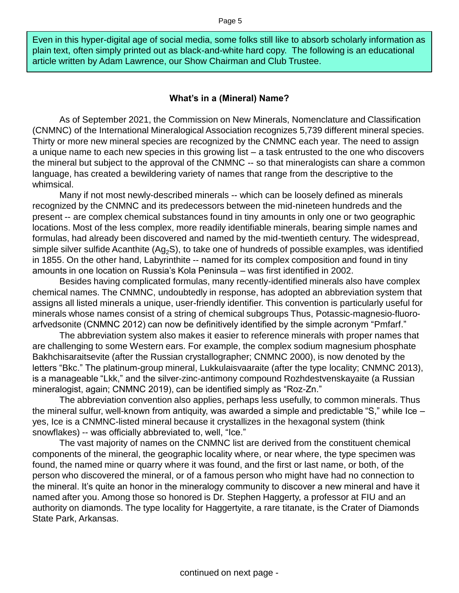Even in this hyper-digital age of social media, some folks still like to absorb scholarly information as plain text, often simply printed out as black-and-white hard copy. The following is an educational article written by Adam Lawrence, our Show Chairman and Club Trustee.

#### **What's in a (Mineral) Name?**

As of September 2021, the Commission on New Minerals, Nomenclature and Classification (CNMNC) of the International Mineralogical Association recognizes 5,739 different mineral species. Thirty or more new mineral species are recognized by the CNMNC each year. The need to assign a unique name to each new species in this growing list – a task entrusted to the one who discovers the mineral but subject to the approval of the CNMNC -- so that mineralogists can share a common language, has created a bewildering variety of names that range from the descriptive to the whimsical.

Many if not most newly-described minerals -- which can be loosely defined as minerals recognized by the CNMNC and its predecessors between the mid-nineteen hundreds and the present -- are complex chemical substances found in tiny amounts in only one or two geographic locations. Most of the less complex, more readily identifiable minerals, bearing simple names and formulas, had already been discovered and named by the mid-twentieth century. The widespread, simple silver sulfide Acanthite  $(Ag_2S)$ , to take one of hundreds of possible examples, was identified in 1855. On the other hand, Labyrinthite -- named for its complex composition and found in tiny amounts in one location on Russia's Kola Peninsula – was first identified in 2002.

Besides having complicated formulas, many recently-identified minerals also have complex chemical names. The CNMNC, undoubtedly in response, has adopted an abbreviation system that assigns all listed minerals a unique, user-friendly identifier. This convention is particularly useful for minerals whose names consist of a string of chemical subgroups Thus, Potassic-magnesio-fluoroarfvedsonite (CNMNC 2012) can now be definitively identified by the simple acronym "Pmfarf."

The abbreviation system also makes it easier to reference minerals with proper names that are challenging to some Western ears. For example, the complex sodium magnesium phosphate Bakhchisaraitsevite (after the Russian crystallographer; CNMNC 2000), is now denoted by the letters "Bkc." The platinum-group mineral, Lukkulaisvaaraite (after the type locality; CNMNC 2013), is a manageable "Lkk," and the silver-zinc-antimony compound Rozhdestvenskayaite (a Russian mineralogist, again; CNMNC 2019), can be identified simply as "Roz-Zn."

The abbreviation convention also applies, perhaps less usefully, to common minerals. Thus the mineral sulfur, well-known from antiquity, was awarded a simple and predictable "S," while Ice – yes, Ice is a CNMNC-listed mineral because it crystallizes in the hexagonal system (think snowflakes) -- was officially abbreviated to, well, "Ice."

The vast majority of names on the CNMNC list are derived from the constituent chemical components of the mineral, the geographic locality where, or near where, the type specimen was found, the named mine or quarry where it was found, and the first or last name, or both, of the person who discovered the mineral, or of a famous person who might have had no connection to the mineral. It's quite an honor in the mineralogy community to discover a new mineral and have it named after you. Among those so honored is Dr. Stephen Haggerty, a professor at FIU and an authority on diamonds. The type locality for Haggertyite, a rare titanate, is the Crater of Diamonds State Park, Arkansas.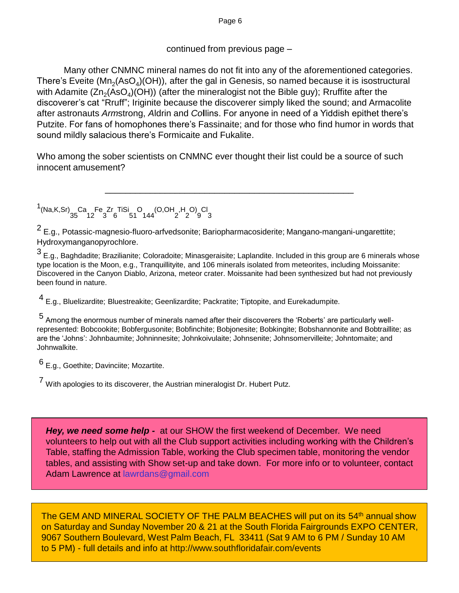Page 6

#### continued from previous page –

Many other CNMNC mineral names do not fit into any of the aforementioned categories. There's Eveite (Mn<sub>2</sub>(AsO<sub>4</sub>)(OH)), after the gal in Genesis, so named because it is isostructural with Adamite (Zn<sub>2</sub>(AsO<sub>4</sub>)(OH)) (after the mineralogist not the Bible guy); Rruffite after the discoverer's cat "Rruff"; Iriginite because the discoverer simply liked the sound; and Armacolite after astronauts *Arm*strong, *A*ldrin and *Co***l**lins. For anyone in need of a Yiddish epithet there's Putzite. For fans of homophones there's Fassinaite; and for those who find humor in words that sound mildly salacious there's Formicaite and Fukalite.

Who among the sober scientists on CNMNC ever thought their list could be a source of such innocent amusement?

\_\_\_\_\_\_\_\_\_\_\_\_\_\_\_\_\_\_\_\_\_\_\_\_\_\_\_\_\_\_\_\_\_\_\_\_\_\_\_\_\_\_\_\_\_\_\_\_\_\_

1<br>
1,(Na,K,Sr) Ca Fe Zr TiSi O (O,OH H O) Cl<br>
35 12 3 6 51 144 2 2 9 3

2 E.g., Potassic-magnesio-fluoro-arfvedsonite; Bariopharmacosiderite; Mangano-mangani-ungarettite; Hydroxymanganopyrochlore.

 $^3$  E.g., Baghdadite; Brazilianite; Coloradoite; Minasgeraisite; Laplandite. Included in this group are 6 minerals whose type location is the Moon, e.g., Tranquillityite, and 106 minerals isolated from meteorites, including Moissanite: Discovered in the Canyon Diablo, Arizona, meteor crater. Moissanite had been synthesized but had not previously been found in nature.

<sup>4</sup>E.g., Bluelizardite; Bluestreakite; Geenlizardite; Packratite; Tiptopite, and Eurekadumpite.

<sup>5</sup>Among the enormous number of minerals named after their discoverers the 'Roberts' are particularly wellrepresented: Bobcookite; Bobfergusonite; Bobfinchite; Bobjonesite; Bobkingite; Bobshannonite and Bobtraillite; as are the 'Johns': Johnbaumite; Johninnesite; Johnkoivulaite; Johnsenite; Johnsomervilleite; Johntomaite; and Johnwalkite.

<sup>6</sup>E.g., Goethite; Davinciite; Mozartite.

<sup>7</sup>With apologies to its discoverer, the Austrian mineralogist Dr. Hubert Putz.

*Hey, we need some help -* at our SHOW the first weekend of December. We need volunteers to help out with all the Club support activities including working with the Children's Table, staffing the Admission Table, working the Club specimen table, monitoring the vendor tables, and assisting with Show set-up and take down. For more info or to volunteer, contact Adam Lawrence at lawrdans@gmail.com

The GEM AND MINERAL SOCIETY OF THE PALM BEACHES will put on its 54<sup>th</sup> annual show on Saturday and Sunday November 20 & 21 at the South Florida Fairgrounds EXPO CENTER, 9067 Southern Boulevard, West Palm Beach, FL 33411 (Sat 9 AM to 6 PM / Sunday 10 AM to 5 PM) - full details and info at http://www.southfloridafair.com/events